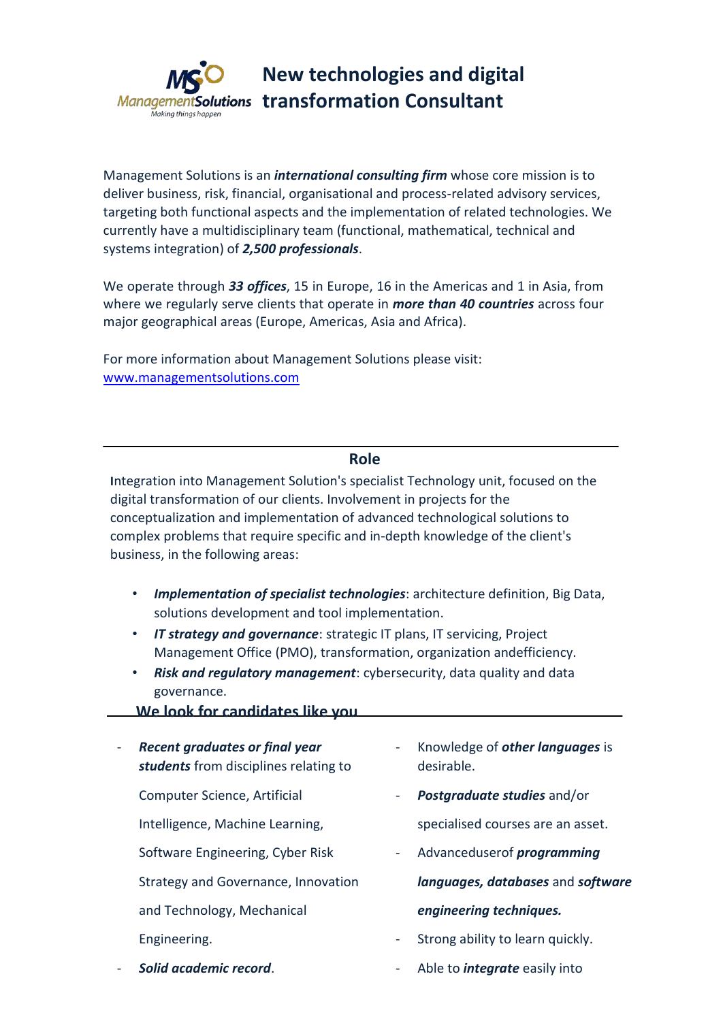

Management Solutions is an *international consulting firm* whose core mission is to deliver business, risk, financial, organisational and process-related advisory services, targeting both functional aspects and the implementation of related technologies. We currently have a multidisciplinary team (functional, mathematical, technical and systems integration) of *2,500 professionals*.

We operate through *33 offices*, 15 in Europe, 16 in the Americas and 1 in Asia, from where we regularly serve clients that operate in *more than 40 countries* across four major geographical areas (Europe, Americas, Asia and Africa).

For more information about Management Solutions please visit: [www.managementsolutions.com](http://www.managementsolutions.com/)

## **Role**

**I**ntegration into Management Solution's specialist Technology unit, focused on the digital transformation of our clients. Involvement in projects for the conceptualization and implementation of advanced technological solutions to complex problems that require specific and in-depth knowledge of the client's business, in the following areas:

- *Implementation of specialist technologies*: architecture definition, Big Data, solutions development and tool implementation.
- *IT strategy and governance*: strategic IT plans, IT servicing, Project Management Office (PMO), transformation, organization andefficiency.
- *Risk and regulatory management*: cybersecurity, data quality and data governance.

### **We look for candidates like you**

| $\overline{\phantom{0}}$ | Recent graduates or final year<br>students from disciplines relating to | - Knowledge of <b>other languages</b> is<br>desirable. |
|--------------------------|-------------------------------------------------------------------------|--------------------------------------------------------|
|                          | Computer Science, Artificial<br>$\sim 100$                              | <b>Postgraduate studies and/or</b>                     |
|                          | Intelligence, Machine Learning,                                         | specialised courses are an asset.                      |
|                          | Software Engineering, Cyber Risk                                        | - Advanceduser of <i>programming</i>                   |
|                          | Strategy and Governance, Innovation                                     | languages, databases and software                      |
|                          | and Technology, Mechanical                                              | engineering techniques.                                |
|                          | Engineering.<br>$\overline{\phantom{a}}$                                | Strong ability to learn quickly.                       |
| $\overline{\phantom{0}}$ | Solid academic record.<br>۰.                                            | Able to <i>integrate</i> easily into                   |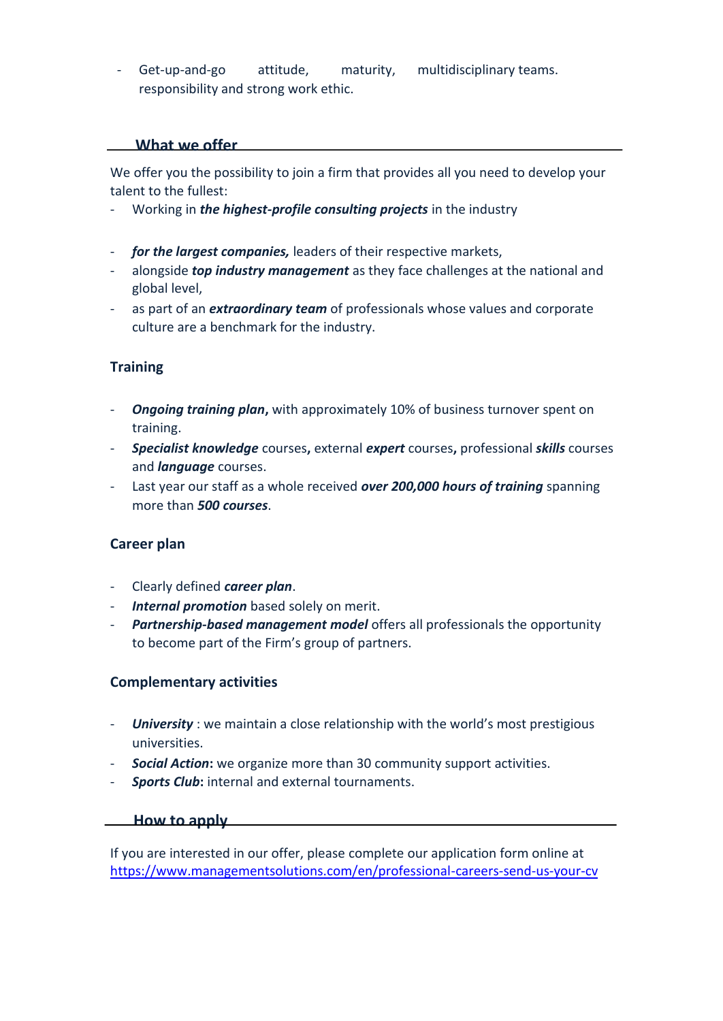- Get-up-and-go attitude, responsibility and strong work ethic. maturity, multidisciplinary teams.

# **What we offer**

We offer you the possibility to join a firm that provides all you need to develop your talent to the fullest:

- Working in *the highest-profile consulting projects* in the industry
- *for the largest companies,* leaders of their respective markets,
- alongside *top industry management* as they face challenges at the national and global level,
- as part of an *extraordinary team* of professionals whose values and corporate culture are a benchmark for the industry.

# **Training**

- *Ongoing training plan***,** with approximately 10% of business turnover spent on training.
- *Specialist knowledge* courses**,** external *expert* courses**,** professional *skills* courses and *language* courses.
- Last year our staff as a whole received *over 200,000 hours of training* spanning more than *500 courses*.

## **Career plan**

- Clearly defined *career plan*.
- *Internal promotion* based solely on merit.
- Partnership-based management model offers all professionals the opportunity to become part of the Firm's group of partners.

## **Complementary activities**

- *University* : we maintain a close relationship with the world's most prestigious universities.
- *Social Action***:** we organize more than 30 community support activities.
- *Sports Club***:** internal and external tournaments.

### **How to apply**

If you are interested in our offer, please complete our application form online at <https://www.managementsolutions.com/en/professional-careers-send-us-your-cv>